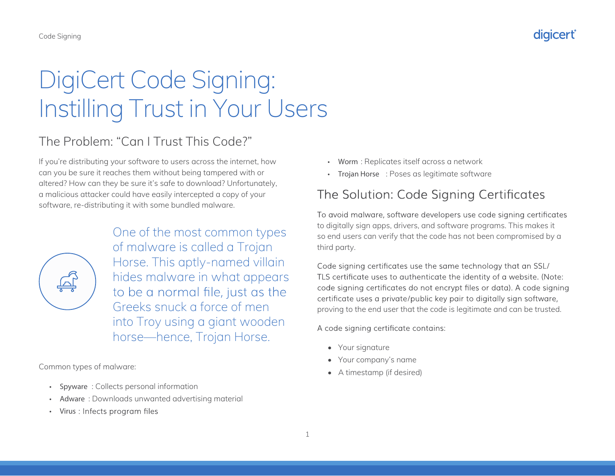# DigiCert Code Signing: Instilling Trust in Your Users

## The Problem: "Can I Trust This Code?"

If you're distributing your software to users across the internet, how can you be sure it reaches them without being tampered with or altered? How can they be sure it's safe to download? Unfortunately, a malicious attacker could have easily intercepted a copy of your software, re-distributing it with some bundled malware.



One of the most common types of malware is called a Trojan Horse. This aptly-named villain hides malware in what appears to be a normal file, just as the Greeks snuck a force of men into Troy using a giant wooden horse—hence, Trojan Horse.

Common types of malware:

- Spyware : Collects personal information
- Adware: Downloads unwanted advertising material
- Virus : Infects program files
- Worm : Replicates itself across a network
- Trojan Horse : Poses as legitimate software

### The Solution: Code Signing Certificates

To avoid malware, software developers use code signing certificates to digitally sign apps, drivers, and software programs. This makes it so end users can verify that the code has not been compromised by a third party.

Code signing certificates use the same technology that an SSL/ TLS certificate uses to authenticate the identity of a website. (Note: code signing certificates do not encrypt files or data). A code signing certificate uses a private/public key pair to digitally sign software, proving to the end user that the code is legitimate and can be trusted.

A code signing certificate contains:

- Your signature
- Your company's name
- A timestamp (if desired)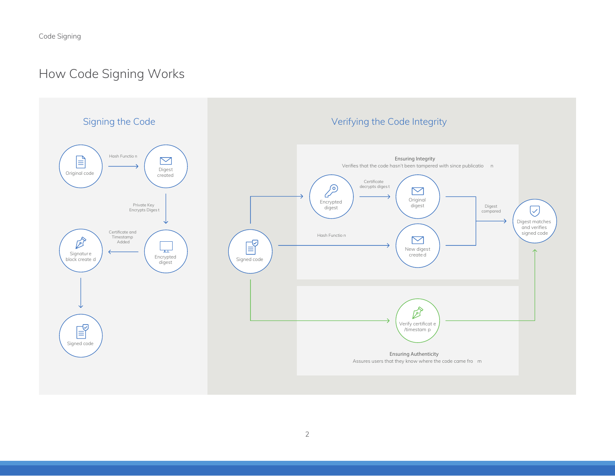# How Code Signing Works

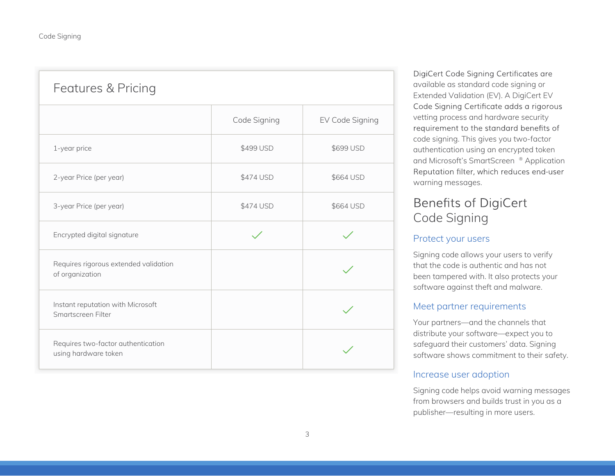| Features & Pricing                                         |              |                 |
|------------------------------------------------------------|--------------|-----------------|
|                                                            | Code Signing | EV Code Signing |
| 1-year price                                               | \$499 USD    | \$699 USD       |
| 2-year Price (per year)                                    | \$474 USD    | \$664 USD       |
| 3-year Price (per year)                                    | \$474 USD    | \$664 USD       |
| Encrypted digital signature                                |              |                 |
| Requires rigorous extended validation<br>of organization   |              |                 |
| Instant reputation with Microsoft<br>Smartscreen Filter    |              |                 |
| Requires two-factor authentication<br>using hardware token |              |                 |

DigiCert Code Signing Certificates are available as standard code signing or Extended Validation (EV). A DigiCert EV Code Signing Certificate adds a rigorous vetting process and hardware security requirement to the standard benefits of code signing. This gives you two-factor authentication using an encrypted token and Microsoft's SmartScreen ® Application Reputation filter, which reduces end-user warning messages.

### **Benefits of DigiCert** Code Signing

### Protect your users

Signing code allows your users to verify that the code is authentic and has not been tampered with. It also protects your software against theft and malware.

### Meet partner requirements

Your partners—and the channels that distribute your software—expect you to safeguard their customers' data. Signing software shows commitment to their safety.

### Increase user adoption

Signing code helps avoid warning messages from browsers and builds trust in you as a publisher—resulting in more users.